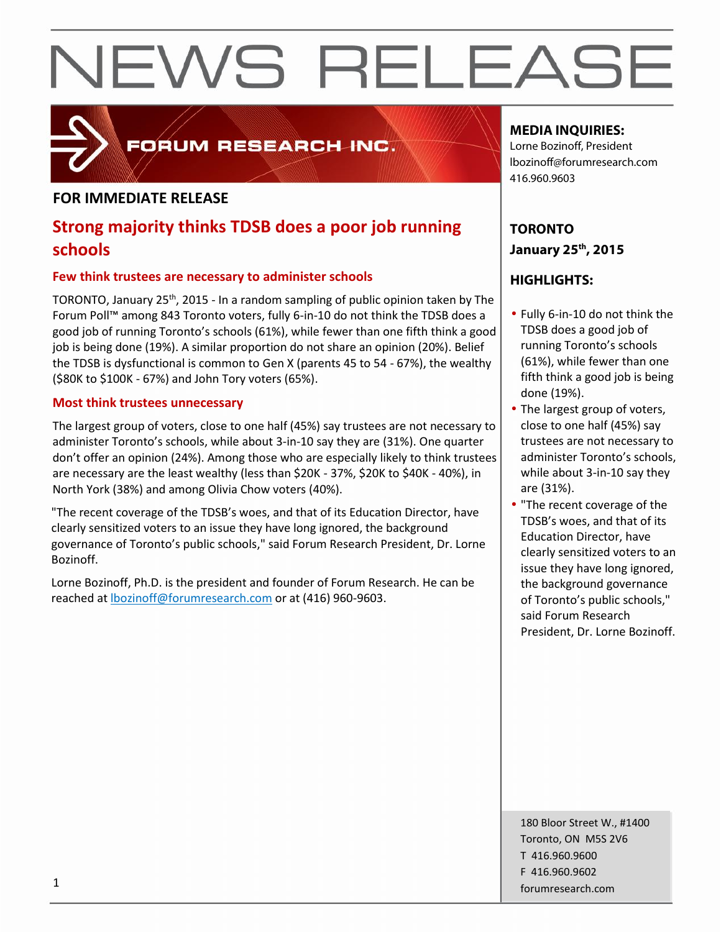

FORUM RESEARCH INC.

### **FOR IMMEDIATE RELEASE**

## **Strong majority thinks TDSB does a poor job running schools**

#### **Few think trustees are necessary to administer schools**

TORONTO, January 25<sup>th</sup>, 2015 - In a random sampling of public opinion taken by The Forum Poll™ among 843 Toronto voters, fully 6-in-10 do not think the TDSB does a good job of running Toronto's schools (61%), while fewer than one fifth think a good job is being done (19%). A similar proportion do not share an opinion (20%). Belief the TDSB is dysfunctional is common to Gen X (parents 45 to 54 - 67%), the wealthy (\$80K to \$100K - 67%) and John Tory voters (65%).

#### **Most think trustees unnecessary**

The largest group of voters, close to one half (45%) say trustees are not necessary to administer Toronto's schools, while about 3-in-10 say they are (31%). One quarter don't offer an opinion (24%). Among those who are especially likely to think trustees are necessary are the least wealthy (less than \$20K - 37%, \$20K to \$40K - 40%), in North York (38%) and among Olivia Chow voters (40%).

"The recent coverage of the TDSB's woes, and that of its Education Director, have clearly sensitized voters to an issue they have long ignored, the background governance of Toronto's public schools," said Forum Research President, Dr. Lorne Bozinoff.

Lorne Bozinoff, Ph.D. is the president and founder of Forum Research. He can be reached at lbozinoff@forumresearch.com or at (416) 960-9603.

### **MEDIA INQUIRIES:**

Lorne Bozinoff, President lbozinoff@forumresearch.com 416.960.9603

**TORONTO January 25th, 2015**

### **HIGHLIGHTS:**

- Fully 6-in-10 do not think the TDSB does a good job of running Toronto's schools (61%), while fewer than one fifth think a good job is being done (19%).
- The largest group of voters, close to one half (45%) say trustees are not necessary to administer Toronto's schools, while about 3-in-10 say they are (31%).
- "The recent coverage of the TDSB's woes, and that of its Education Director, have clearly sensitized voters to an issue they have long ignored, the background governance of Toronto's public schools," said Forum Research President, Dr. Lorne Bozinoff.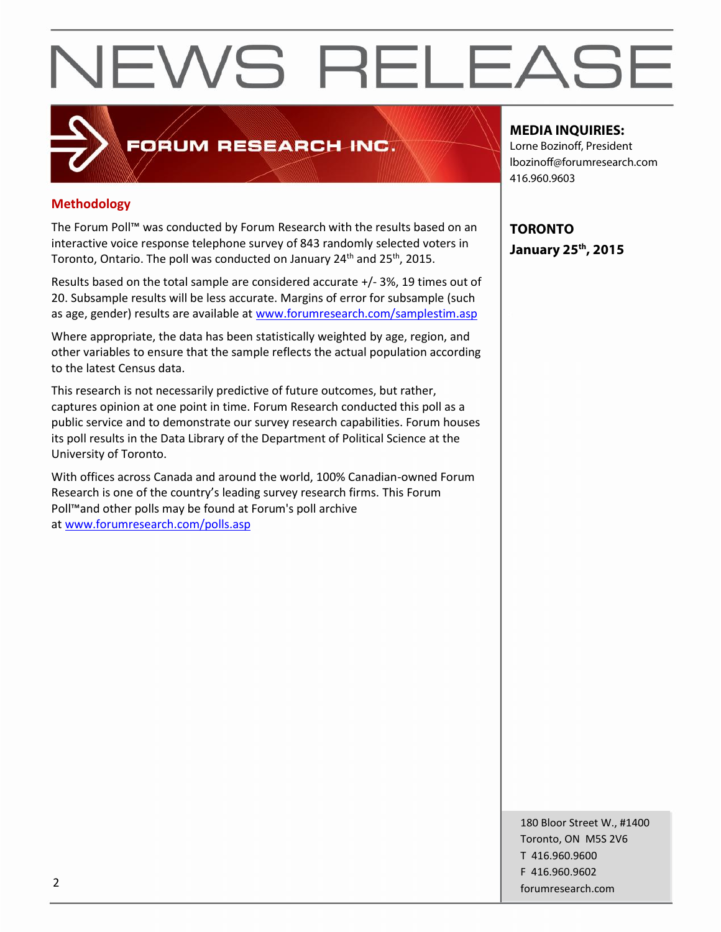## **Methodology**

The Forum Poll™ was conducted by Forum Research with the results based on an interactive voice response telephone survey of 843 randomly selected voters in Toronto, Ontario. The poll was conducted on January 24<sup>th</sup> and 25<sup>th</sup>, 2015.

FORUM RESEARCH INC.

Results based on the total sample are considered accurate +/-3%, 19 times out of 20. Subsample results will be less accurate. Margins of error for subsample (such as age, gender) results are available at www.forumresearch.com/samplestim.asp

Where appropriate, the data has been statistically weighted by age, region, and other variables to ensure that the sample reflects the actual population according to the latest Census data.

This research is not necessarily predictive of future outcomes, but rather, captures opinion at one point in time. Forum Research conducted this poll as a public service and to demonstrate our survey research capabilities. Forum houses its poll results in the Data Library of the Department of Political Science at the University of Toronto.

With offices across Canada and around the world, 100% Canadian-owned Forum Research is one of the country's leading survey research firms. This Forum Poll™and other polls may be found at Forum's poll archive at www.forumresearch.com/polls.asp

#### **MEDIA INQUIRIES:**

Lorne Bozinoff, President lbozinoff@forumresearch.com 416.960.9603

**TORONTO January 25th, 2015**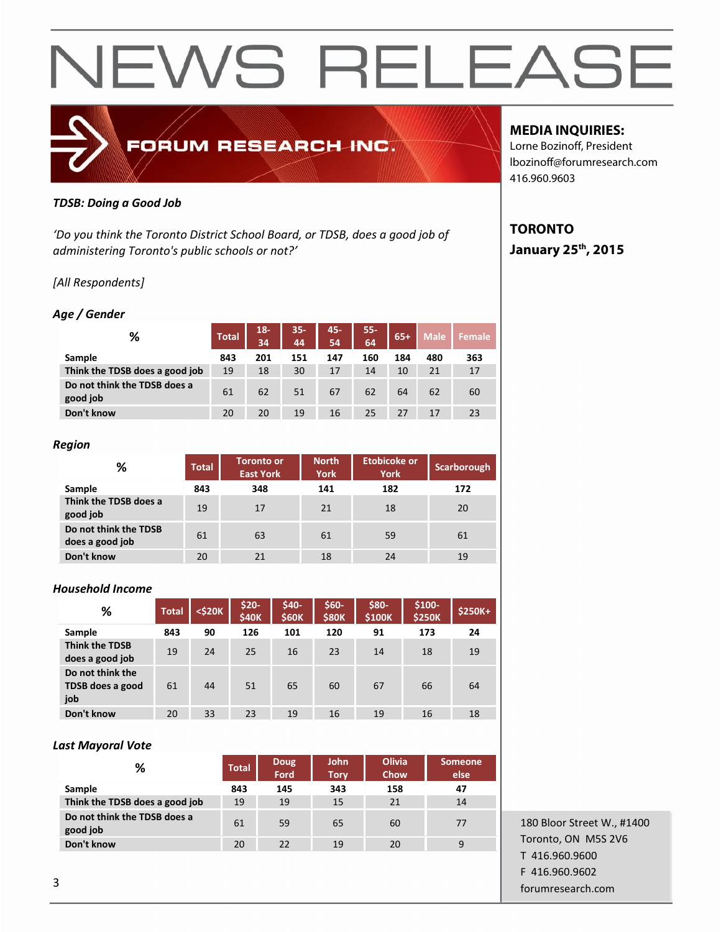

#### *TDSB: Doing a Good Job*

*'Do you think the Toronto District School Board, or TDSB, does a good job of administering Toronto's public schools or not?'*

#### *[All Respondents]*

#### *Age / Gender*

| %                                        | <b>Total</b> | $18 -$<br>34 | $35 -$<br>44 | 45-<br>54 | $55 -$<br>64 | $65+$ | <b>Male</b> | <b>Female</b> |
|------------------------------------------|--------------|--------------|--------------|-----------|--------------|-------|-------------|---------------|
| Sample                                   | 843          | 201          | 151          | 147       | 160          | 184   | 480         | 363           |
| Think the TDSB does a good job           | 19           | 18           | 30           | 17        | 14           | 10    | 21          | 17            |
| Do not think the TDSB does a<br>good job | 61           | 62           | 51           | 67        | 62           | 64    | 62          | 60            |
| Don't know                               | 20           | 20           | 19           | 16        | 25           | 27    | 17          | 23            |

#### *Region*

| %                                        | <b>Toronto or</b><br><b>Total</b><br><b>East York</b> |     | <b>North</b><br><b>York</b> | <b>Etobicoke or</b><br><b>York</b> | Scarborough |  |
|------------------------------------------|-------------------------------------------------------|-----|-----------------------------|------------------------------------|-------------|--|
| Sample                                   | 843                                                   | 348 | 141                         | 182                                | 172         |  |
| Think the TDSB does a<br>good job        | 19                                                    | 17  | 21                          | 18                                 | 20          |  |
| Do not think the TDSB<br>does a good job | 61                                                    | 63  | 61                          | 59                                 | 61          |  |
| Don't know                               | 20                                                    | 21  | 18                          | 24                                 | 19          |  |

#### *Household Income*

| ℅                                           | <b>Total</b> | $<$ \$20 $K$ | $$20-$<br><b>\$40K</b> | \$40-<br><b>\$60K</b> | \$60-<br><b>\$80K</b> | \$80-<br>\$100K | $$100-$<br><b>\$250K</b> | \$250K+ |
|---------------------------------------------|--------------|--------------|------------------------|-----------------------|-----------------------|-----------------|--------------------------|---------|
| Sample                                      | 843          | 90           | 126                    | 101                   | 120                   | 91              | 173                      | 24      |
| <b>Think the TDSB</b><br>does a good job    | 19           | 24           | 25                     | 16                    | 23                    | 14              | 18                       | 19      |
| Do not think the<br>TDSB does a good<br>job | 61           | 44           | 51                     | 65                    | 60                    | 67              | 66                       | 64      |
| Don't know                                  | 20           | 33           | 23                     | 19                    | 16                    | 19              | 16                       | 18      |

#### *Last Mayoral Vote*

| %                                        | <b>Total</b> | Doug<br>Ford | <b>John</b><br><b>Tory</b> | <b>Olivia</b><br>Chow | <b>Someone</b><br>else |  |
|------------------------------------------|--------------|--------------|----------------------------|-----------------------|------------------------|--|
| Sample                                   | 843          | 145          | 343                        | 158                   | 47                     |  |
| Think the TDSB does a good job           | 19           | 19           | 15                         | 21                    | 14                     |  |
| Do not think the TDSB does a<br>good job | 61           | 59           | 65                         | 60                    | 77                     |  |
| Don't know                               | 20           | 22           | 19                         | 20                    | 9                      |  |

## **MEDIA INQUIRIES:**

Lorne Bozinoff, President lbozinoff@forumresearch.com 416.960.9603

### **TORONTO January 25th, 2015**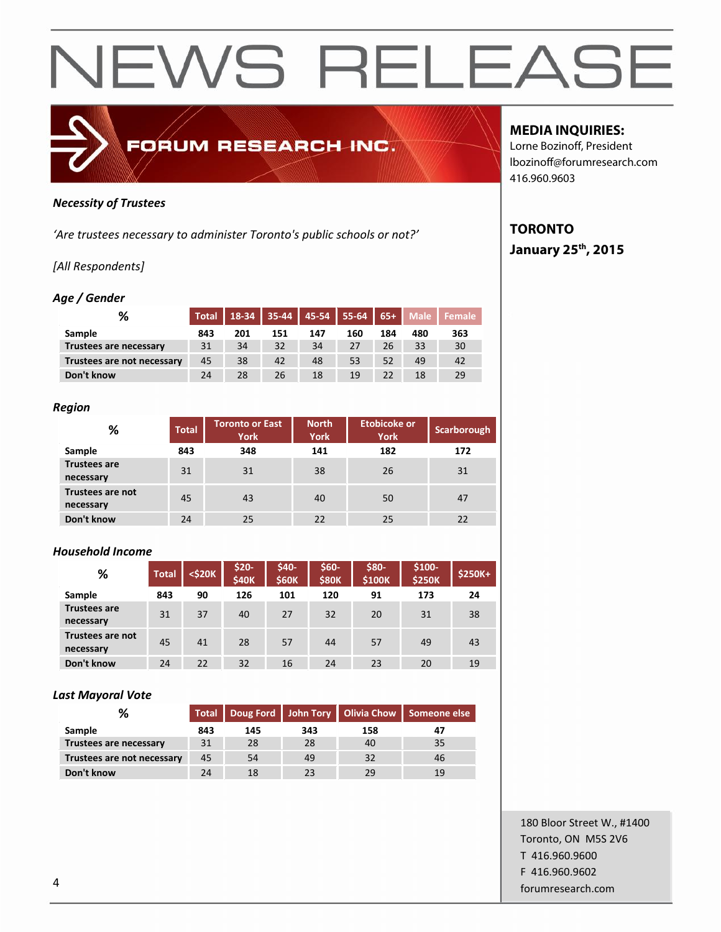

#### *Necessity of Trustees*

*'Are trustees necessary to administer Toronto's public schools or not?'*

#### *[All Respondents]*

#### *Age / Gender*

| %                          | <b>Total</b> | 18-34 | $135-44$ 45-54 55-64 65+ |     |     |     | <b>Male</b> | Female |  |
|----------------------------|--------------|-------|--------------------------|-----|-----|-----|-------------|--------|--|
| Sample                     | 843          | 201   | 151                      | 147 | 160 | 184 | 480         | 363    |  |
| Trustees are necessary     | 31           | 34    | 32                       | 34  | 27  | 26  | 33          | 30     |  |
| Trustees are not necessary | 45           | 38    | 42                       | 48  | 53  | 52  | 49          | 42     |  |
| Don't know                 | 24           | 28    | 26                       | 18  | 19  | 22  | 18          | 29     |  |

#### *Region*

| %                                    | <b>Toronto or East</b><br><b>Total</b><br><b>York</b> |     | <b>North</b><br><b>York</b> | <b>Etobicoke or</b><br><b>York</b> | Scarborough |  |
|--------------------------------------|-------------------------------------------------------|-----|-----------------------------|------------------------------------|-------------|--|
| Sample                               | 843                                                   | 348 | 141                         | 182                                | 172         |  |
| <b>Trustees are</b><br>necessary     | 31                                                    | 31  | 38                          | 26                                 | 31          |  |
| <b>Trustees are not</b><br>necessary | 45                                                    | 43  | 40                          | 50                                 | 47          |  |
| Don't know                           | 24                                                    | 25  | 22                          | 25                                 | 22          |  |

#### *Household Income*

| %                                | <b>Total</b> | <\$20K | $$20-$<br><b>\$40K</b> | \$40-<br><b>\$60K</b> | \$60-<br><b>\$80K</b> | \$80-<br>\$100K | \$100-<br><b>\$250K</b> | \$250K+ |
|----------------------------------|--------------|--------|------------------------|-----------------------|-----------------------|-----------------|-------------------------|---------|
| Sample                           | 843          | 90     | 126                    | 101                   | 120                   | 91              | 173                     | 24      |
| <b>Trustees are</b><br>necessary | 31           | 37     | 40                     | 27                    | 32                    | 20              | 31                      | 38      |
| Trustees are not<br>necessary    | 45           | 41     | 28                     | 57                    | 44                    | 57              | 49                      | 43      |
| Don't know                       | 24           | 22     | 32                     | 16                    | 24                    | 23              | 20                      | 19      |

#### *Last Mayoral Vote*

| %                          |     |     |     |     | Total   Doug Ford   John Tory   Olivia Chow   Someone else |
|----------------------------|-----|-----|-----|-----|------------------------------------------------------------|
| <b>Sample</b>              | 843 | 145 | 343 | 158 |                                                            |
| Trustees are necessary     | 31  | 28  | 28  | 40  | 35                                                         |
| Trustees are not necessary | 45  | 54  | 49  | 32  | 46                                                         |
| Don't know                 | 24  | 18  |     | 29  | 19                                                         |

### **MEDIA INQUIRIES:**

Lorne Bozinoff, President lbozinoff@forumresearch.com 416.960.9603

## **TORONTO**

**January 25th, 2015**